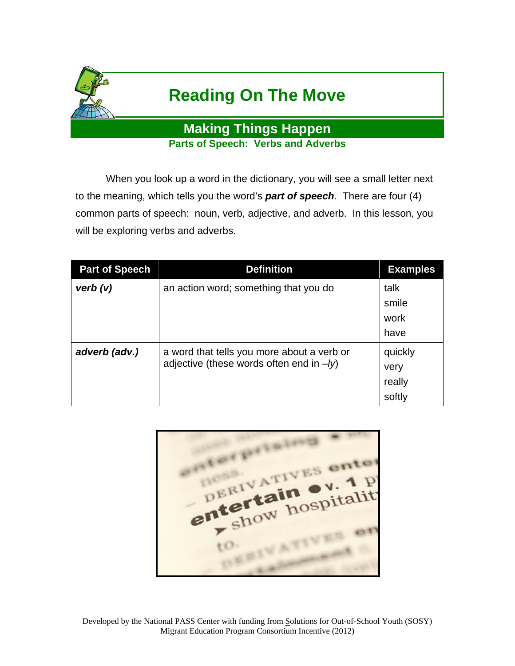

## **Reading On The Move**

**Making Things Happen Parts of Speech: Verbs and Adverbs** 

 When you look up a word in the dictionary, you will see a small letter next to the meaning, which tells you the word's *part of speech*. There are four (4) common parts of speech: noun, verb, adjective, and adverb. In this lesson, you will be exploring verbs and adverbs.

| <b>Part of Speech</b> | <b>Definition</b>                                                                         | <b>Examples</b>                     |
|-----------------------|-------------------------------------------------------------------------------------------|-------------------------------------|
| verb(v)               | an action word; something that you do                                                     | talk<br>smile<br>work<br>have       |
| adverb (adv.)         | a word that tells you more about a verb or<br>adjective (these words often end in $-ly$ ) | quickly<br>very<br>really<br>softly |

orpris enter DERIVATI ERITAIN System entertain to.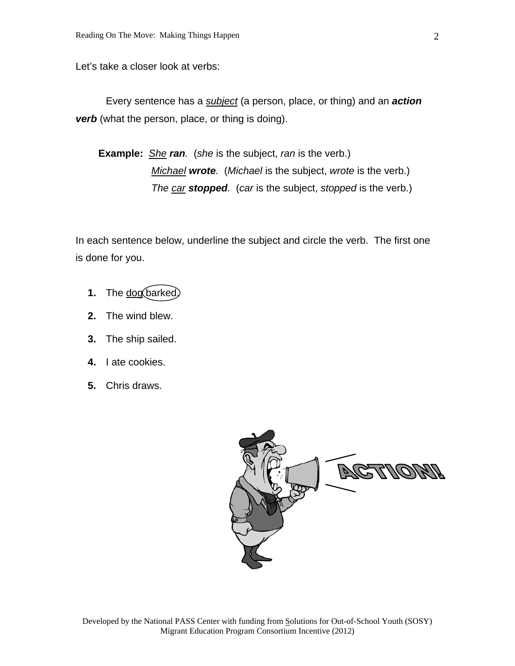Let's take a closer look at verbs:

 Every sentence has a *subject* (a person, place, or thing) and an *action* **verb** (what the person, place, or thing is doing).

**Example:** *She ran.* (*she* is the subject, *ran* is the verb.) *Michael wrote.* (*Michael* is the subject, *wrote* is the verb.) *The car stopped.* (*car* is the subject, *stopped* is the verb.)

In each sentence below, underline the subject and circle the verb. The first one is done for you.

- 1. The dog barked.
- **2.** The wind blew.
- **3.** The ship sailed.
- **4.** I ate cookies.
- **5.** Chris draws.

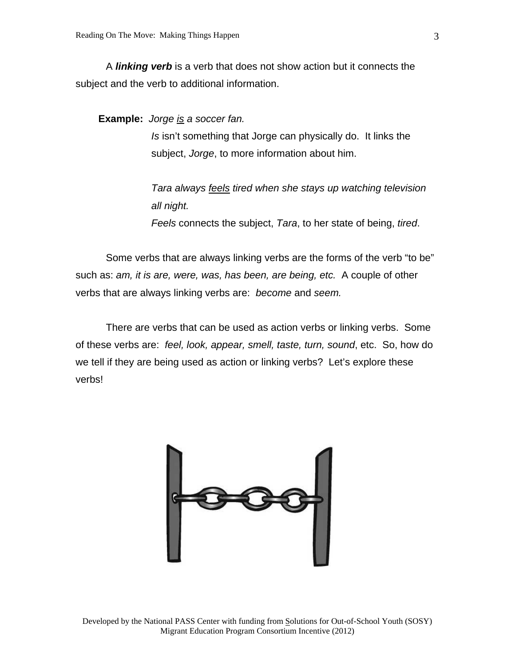A *linking verb* is a verb that does not show action but it connects the subject and the verb to additional information.

**Example:** *Jorge is a soccer fan.* 

*Is* isn't something that Jorge can physically do. It links the subject, *Jorge*, to more information about him.

*Tara always feels tired when she stays up watching television all night.* 

*Feels* connects the subject, *Tara*, to her state of being, *tired*.

 Some verbs that are always linking verbs are the forms of the verb "to be" such as: *am, it is are, were, was, has been, are being, etc.* A couple of other verbs that are always linking verbs are: *become* and *seem.*

 There are verbs that can be used as action verbs or linking verbs. Some of these verbs are: *feel, look, appear, smell, taste, turn, sound*, etc. So, how do we tell if they are being used as action or linking verbs? Let's explore these verbs!



Developed by the National PASS Center with funding from Solutions for Out-of-School Youth (SOSY) Migrant Education Program Consortium Incentive (2012)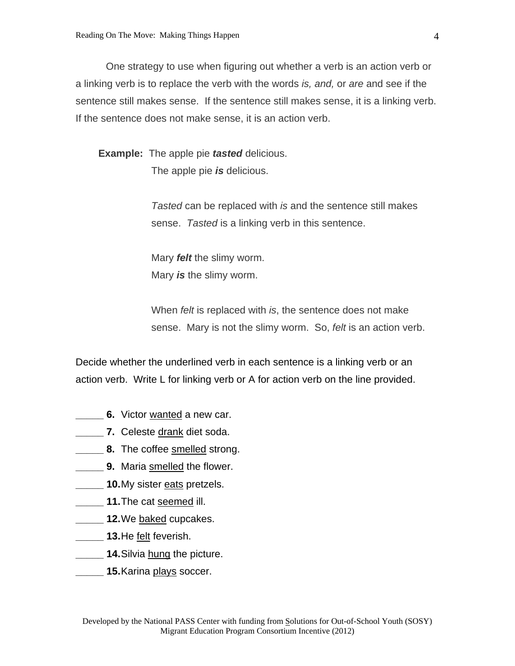One strategy to use when figuring out whether a verb is an action verb or a linking verb is to replace the verb with the words *is, and,* or *are* and see if the sentence still makes sense. If the sentence still makes sense, it is a linking verb. If the sentence does not make sense, it is an action verb.

**Example:** The apple pie *tasted* delicious. The apple pie *is* delicious.

> *Tasted* can be replaced with *is* and the sentence still makes sense. *Tasted* is a linking verb in this sentence.

Mary *felt* the slimy worm. Mary *is* the slimy worm.

When *felt* is replaced with *is*, the sentence does not make sense. Mary is not the slimy worm. So, *felt* is an action verb.

Decide whether the underlined verb in each sentence is a linking verb or an action verb. Write L for linking verb or A for action verb on the line provided.

- **6.** Victor wanted a new car.
- **7.** Celeste drank diet soda.
- **8.** The coffee smelled strong.
- **EXECUTE:** 9. Maria smelled the flower.
- **\_\_\_\_\_ 10.** My sister eats pretzels.
- **\_\_\_\_\_ 11.** The cat seemed ill.
- **12.** We baked cupcakes.
- **\_\_\_\_\_ 13.** He felt feverish.
- **LECT** 14. Silvia hung the picture.
- **\_\_\_\_\_ 15.** Karina plays soccer.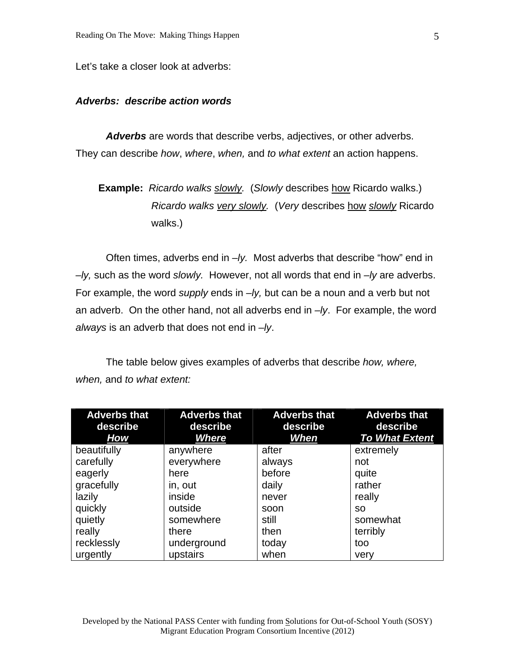Let's take a closer look at adverbs:

## *Adverbs: describe action words*

 *Adverbs* are words that describe verbs, adjectives, or other adverbs. They can describe *how*, *where*, *when,* and *to what extent* an action happens.

```
Example: Ricardo walks slowly. (Slowly describes how Ricardo walks.) 
Ricardo walks very slowly. (Very describes how slowly Ricardo 
walks.)
```
 Often times, adverbs end in *–ly.* Most adverbs that describe "how" end in *–ly,* such as the word *slowly.* However, not all words that end in *–ly* are adverbs. For example, the word *supply* ends in *–ly,* but can be a noun and a verb but not an adverb. On the other hand, not all adverbs end in *–ly*. For example, the word *always* is an adverb that does not end in *–ly*.

 The table below gives examples of adverbs that describe *how, where, when,* and *to what extent:* 

| <b>Adverbs that</b><br>describe<br><b>How</b> | <b>Adverbs that</b><br>describe<br>Where | <b>Adverbs that</b><br>describe<br>When | <b>Adverbs that</b><br>describe<br><b>To What Extent</b> |
|-----------------------------------------------|------------------------------------------|-----------------------------------------|----------------------------------------------------------|
| beautifully                                   | anywhere                                 | after                                   | extremely                                                |
| carefully                                     | everywhere                               | always                                  | not                                                      |
| eagerly                                       | here                                     | before                                  | quite                                                    |
| gracefully                                    | in, out                                  | daily                                   | rather                                                   |
| lazily                                        | inside                                   | never                                   | really                                                   |
| quickly                                       | outside                                  | soon                                    | <b>SO</b>                                                |
| quietly                                       | somewhere                                | still                                   | somewhat                                                 |
| really                                        | there                                    | then                                    | terribly                                                 |
| recklessly                                    | underground                              | today                                   | too                                                      |
| urgently                                      | upstairs                                 | when                                    | very                                                     |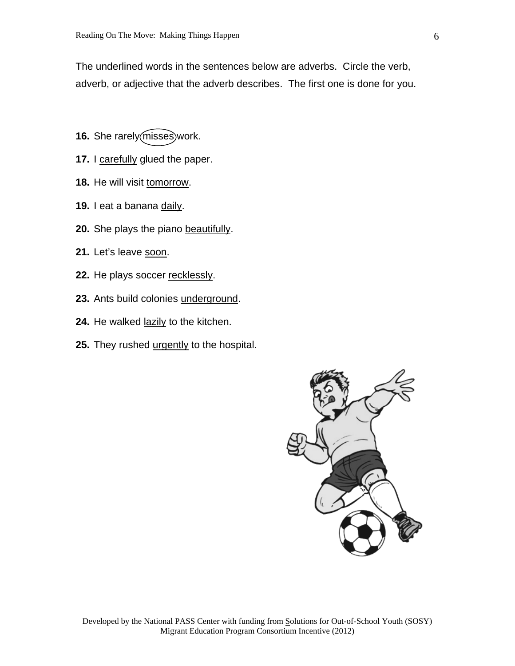The underlined words in the sentences below are adverbs. Circle the verb, adverb, or adjective that the adverb describes. The first one is done for you.

- **16.** She rarely (misses) work.
- 17. I carefully glued the paper.
- 18. He will visit tomorrow.
- **19.** I eat a banana daily.
- **20.** She plays the piano beautifully.
- 21. Let's leave soon.
- 22. He plays soccer recklessly.
- **23.** Ants build colonies underground.
- **24.** He walked lazily to the kitchen.
- 25. They rushed urgently to the hospital.

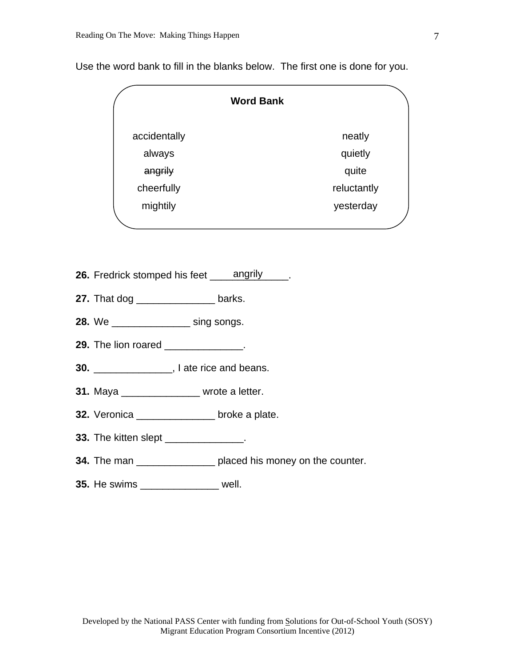|              | <b>Word Bank</b> |
|--------------|------------------|
| accidentally | neatly           |
| always       | quietly          |
| angrily      | quite            |
| cheerfully   | reluctantly      |
| mightily     | yesterday        |
|              |                  |

Use the word bank to fill in the blanks below. The first one is done for you.

- **26.** Fredrick stomped his feet angrily \_\_\_\_\_.
- **27.** That dog \_\_\_\_\_\_\_\_\_\_\_\_\_\_\_\_\_ barks.
- **28.** We \_\_\_\_\_\_\_\_\_\_\_\_\_\_ sing songs.
- **29.** The lion roared \_\_\_\_\_\_\_\_\_\_\_\_\_.
- **30.** \_\_\_\_\_\_\_\_\_\_\_\_\_\_, I ate rice and beans.
- **31.** Maya \_\_\_\_\_\_\_\_\_\_\_\_\_\_ wrote a letter.
- **32.** Veronica \_\_\_\_\_\_\_\_\_\_\_\_\_\_ broke a plate.
- **33.** The kitten slept \_\_\_\_\_\_\_\_\_\_\_\_\_\_\_.
- **34.** The man \_\_\_\_\_\_\_\_\_\_\_\_\_\_\_\_\_\_\_ placed his money on the counter.
- **35.** He swims \_\_\_\_\_\_\_\_\_\_\_\_\_\_ well.